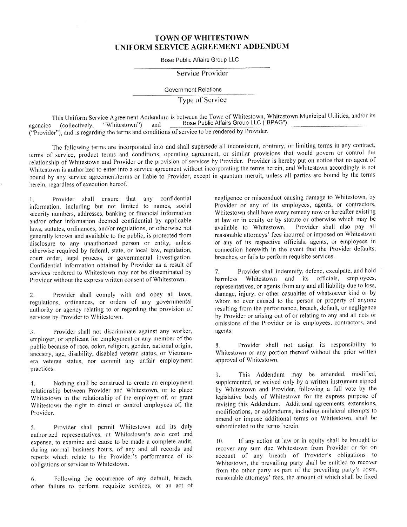## TOWN OF WHITESTOWN UNIFORM SERVICE AGREEMENT ADDENDUM

Bose Public Affairs Group LLC

Service Provider

Government Relations

<sup>T</sup>ype of Service

<sup>T</sup>his Uniform Service Agreement Addendum is between the Town of Whitestown, Whitestown Municipal Utilities, and/or its agencies (collectively, "Whitestown") and Bose Public Affairs Group LLC ("BPAG") ("Provider"), and is regarding the terms and conditions of service to be rendered by Provider.

<sup>T</sup>he following terms are incorporated into and shall supersede all inconsistent, contrary, or limiting terms in any contract, <sup>t</sup>erms of service, product terms and conditions, operating agreement, or similar provisions that would govern or control the <sup>r</sup>elationship of Whitestown and Provider or the provision of services by Provider. Provider is hereby put on notice that no agent of <sup>W</sup>hitestown is authorized to enter into a service agreement without incorporating the terms herein, and Whitestown accordingly is not <sup>b</sup>ound by any service agreement/terms or liable to Provider, except in quantum meruit, unless all parties are bound by the terms herein, regardless of execution hereof.

1 . Provider shall ensure that any confidential i nformation, including but not limited to names, social <sup>s</sup>ecurity numbers, addresses, banking or financial information <sup>a</sup>nd/or other information deemed confidential by applicable laws, statutes, ordinances, and/or regulations, or otherwise not <sup>g</sup>enerally known and available to the public, is protected from disclosure to any unauthorized person or entity, unless <sup>o</sup>therwise required by federal, state, or local law, regulation, <sup>c</sup>ourt order, legal process, or governmental investigation. Confidential information obtained by Provider as a result of <sup>s</sup>ervices rendered to Whitestown may not be disseminated by <sup>P</sup>rovider without the express written consent of Whitestown.

2. Provider shall comply with and obey all laws, <sup>r</sup>egulations, ordinances, or orders of any governmental <sup>a</sup>uthority or agency relating to or regarding the provision of <sup>s</sup>ervices by Provider to Whitestown.

3. Provider shall not discriminate against any worker, <sup>e</sup>mployer, or applicant for employment or any member of the <sup>p</sup>ublic because of race, color, religion, gender, national origin, ancestry, age, disability, disabled veteran status, or Vietnamera veteran status, nor commit any unfair employment practices.

4. Nothing shall be construed to create an employment <sup>r</sup>elationship between Provider and Whitestown, or to place <sup>W</sup>hitestown in the relationship of the employer of, or grant <sup>W</sup>hitestown the right to direct or control employees of, the Provider.

5. Provider shall permit Whitestown and its duly <sup>a</sup>uthorized representatives, at Whitcstown's sole cost and <sup>e</sup>xpense, to examine and cause to be made a complete audit, <sup>d</sup>uring normal business hours, of any and all records and <sup>r</sup>eports which relate to the Provider's performance of its <sup>o</sup>bligations or services to Whitestown.

<sup>6</sup>. Following the occurrence of any default, breach, <sup>o</sup>ther failure to perform requisite services, or an act of negligence or misconduct causing damage to Whitestown, by <sup>P</sup>rovider or any of its employees, agents, or contractors, <sup>W</sup>hitestown shall have every remedy now or hereafter existing <sup>a</sup>t law or in equity or by statute or otherwise which may be <sup>a</sup>vailable to Whitestown. Provider shall also pay all <sup>r</sup>easonable attorneys' fees incurred or imposed on Whitestown <sup>o</sup>r any of its respective officials, agents, or employees in <sup>c</sup>onnection herewith in the event that the Provider defaults, breaches, or fails to perform requisite services.

<sup>7</sup>. Provider shall indemnify, defend, exculpate, and hold harmless Whitestown and its officials, employees, <sup>r</sup>epresentatives, or agents from any and all liability due to loss, <sup>d</sup>amage, injury, or other casualties of whatsoever kind or by whom so ever caused to the person or property of anyone <sup>r</sup>esulting from the performance, breach, default, or negligence <sup>b</sup>y Provider or arising out of or relating to any and all acts or <sup>o</sup>missions of the Provider or its employees, contractors, and <sup>a</sup>gents.

8. Provider shall not assign its responsibility to <sup>W</sup>hitestown or any portion thereof without the prior written <sup>a</sup>pproval of Whitestown.

9. This Addendum may be amended, modified, <sup>s</sup>upplemented, or waived only by a written instrument signed <sup>b</sup>y Whitestown and Provider, following a full vote by the <sup>l</sup>egislative body of Whitestown for the express purpose of <sup>r</sup>evising this Addendum. Additional agreements, extensions, <sup>m</sup>odifications, or addendums, including unilateral attempts to <sup>a</sup>mend or impose additional terms on Whitestown, shall he <sup>s</sup>ubordinated to the terms herein.

 $10.$ If any action at law or in equity shall be brought to <sup>r</sup>ecover any sum due Whitestown from Provider or for on <sup>a</sup>ccount of any breach of Provider's obligations to <sup>W</sup>hitestown, the prevailing party shall be entitled to recover from the other party as part of the prevailing party's costs, reasonable attorneys' fees, the amount of which shall be fixed